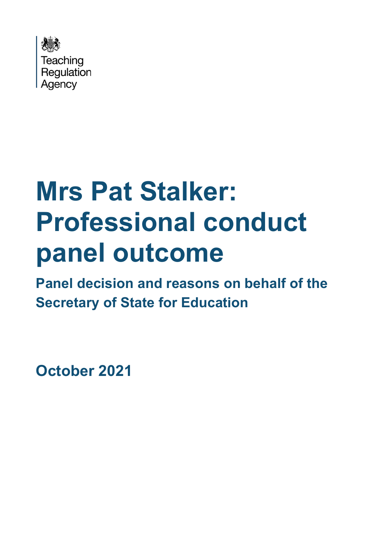

# **Mrs Pat Stalker: Professional conduct panel outcome**

**Panel decision and reasons on behalf of the Secretary of State for Education**

**October 2021**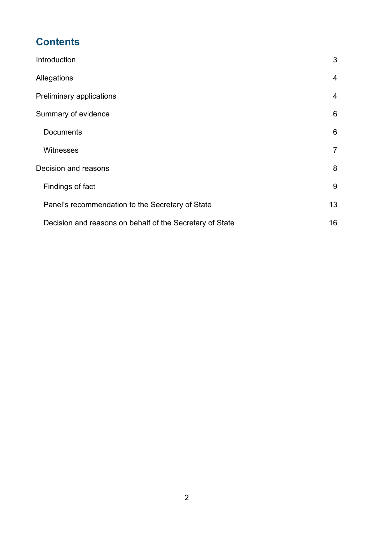# **Contents**

| Introduction                                             | 3              |
|----------------------------------------------------------|----------------|
| Allegations                                              | $\overline{4}$ |
| Preliminary applications                                 | 4              |
| Summary of evidence                                      | 6              |
| <b>Documents</b>                                         | 6              |
| <b>Witnesses</b>                                         | $\overline{7}$ |
| Decision and reasons                                     | 8              |
| Findings of fact                                         | 9              |
| Panel's recommendation to the Secretary of State         | 13             |
| Decision and reasons on behalf of the Secretary of State | 16             |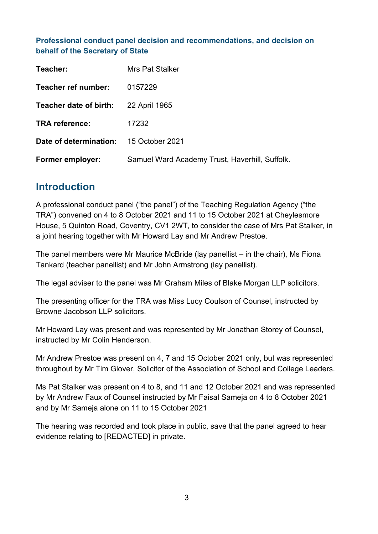#### **Professional conduct panel decision and recommendations, and decision on behalf of the Secretary of State**

| Teacher:                                      | <b>Mrs Pat Stalker</b>                         |
|-----------------------------------------------|------------------------------------------------|
| Teacher ref number:                           | 0157229                                        |
| Teacher date of birth:                        | 22 April 1965                                  |
| <b>TRA reference:</b>                         | 17232                                          |
| <b>Date of determination:</b> 15 October 2021 |                                                |
| Former employer:                              | Samuel Ward Academy Trust, Haverhill, Suffolk. |

# **Introduction**

A professional conduct panel ("the panel") of the Teaching Regulation Agency ("the TRA") convened on 4 to 8 October 2021 and 11 to 15 October 2021 at Cheylesmore House, 5 Quinton Road, Coventry, CV1 2WT, to consider the case of Mrs Pat Stalker, in a joint hearing together with Mr Howard Lay and Mr Andrew Prestoe.

The panel members were Mr Maurice McBride (lay panellist – in the chair), Ms Fiona Tankard (teacher panellist) and Mr John Armstrong (lay panellist).

The legal adviser to the panel was Mr Graham Miles of Blake Morgan LLP solicitors.

The presenting officer for the TRA was Miss Lucy Coulson of Counsel, instructed by Browne Jacobson LLP solicitors.

Mr Howard Lay was present and was represented by Mr Jonathan Storey of Counsel, instructed by Mr Colin Henderson.

Mr Andrew Prestoe was present on 4, 7 and 15 October 2021 only, but was represented throughout by Mr Tim Glover, Solicitor of the Association of School and College Leaders.

Ms Pat Stalker was present on 4 to 8, and 11 and 12 October 2021 and was represented by Mr Andrew Faux of Counsel instructed by Mr Faisal Sameja on 4 to 8 October 2021 and by Mr Sameja alone on 11 to 15 October 2021

The hearing was recorded and took place in public, save that the panel agreed to hear evidence relating to [REDACTED] in private.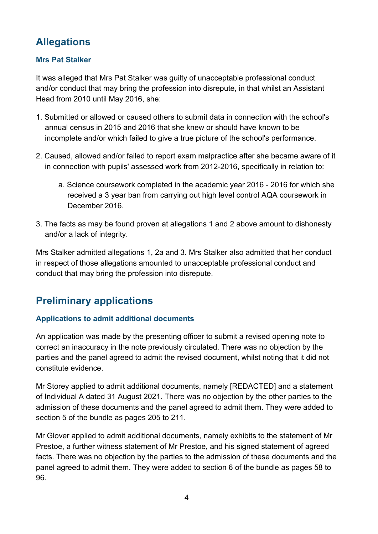# **Allegations**

#### **Mrs Pat Stalker**

It was alleged that Mrs Pat Stalker was guilty of unacceptable professional conduct and/or conduct that may bring the profession into disrepute, in that whilst an Assistant Head from 2010 until May 2016, she:

- 1. Submitted or allowed or caused others to submit data in connection with the school's annual census in 2015 and 2016 that she knew or should have known to be incomplete and/or which failed to give a true picture of the school's performance.
- 2. Caused, allowed and/or failed to report exam malpractice after she became aware of it in connection with pupils' assessed work from 2012-2016, specifically in relation to:
	- a. Science coursework completed in the academic year 2016 2016 for which she received a 3 year ban from carrying out high level control AQA coursework in December 2016.
- 3. The facts as may be found proven at allegations 1 and 2 above amount to dishonesty and/or a lack of integrity.

Mrs Stalker admitted allegations 1, 2a and 3. Mrs Stalker also admitted that her conduct in respect of those allegations amounted to unacceptable professional conduct and conduct that may bring the profession into disrepute.

# **Preliminary applications**

#### **Applications to admit additional documents**

An application was made by the presenting officer to submit a revised opening note to correct an inaccuracy in the note previously circulated. There was no objection by the parties and the panel agreed to admit the revised document, whilst noting that it did not constitute evidence.

Mr Storey applied to admit additional documents, namely [REDACTED] and a statement of Individual A dated 31 August 2021. There was no objection by the other parties to the admission of these documents and the panel agreed to admit them. They were added to section 5 of the bundle as pages 205 to 211.

Mr Glover applied to admit additional documents, namely exhibits to the statement of Mr Prestoe, a further witness statement of Mr Prestoe, and his signed statement of agreed facts. There was no objection by the parties to the admission of these documents and the panel agreed to admit them. They were added to section 6 of the bundle as pages 58 to 96.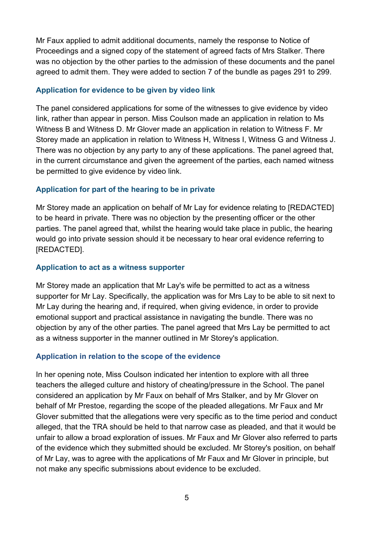Mr Faux applied to admit additional documents, namely the response to Notice of Proceedings and a signed copy of the statement of agreed facts of Mrs Stalker. There was no objection by the other parties to the admission of these documents and the panel agreed to admit them. They were added to section 7 of the bundle as pages 291 to 299.

#### **Application for evidence to be given by video link**

The panel considered applications for some of the witnesses to give evidence by video link, rather than appear in person. Miss Coulson made an application in relation to Ms Witness B and Witness D. Mr Glover made an application in relation to Witness F. Mr Storey made an application in relation to Witness H, Witness I, Witness G and Witness J. There was no objection by any party to any of these applications. The panel agreed that, in the current circumstance and given the agreement of the parties, each named witness be permitted to give evidence by video link.

#### **Application for part of the hearing to be in private**

Mr Storey made an application on behalf of Mr Lay for evidence relating to [REDACTED] to be heard in private. There was no objection by the presenting officer or the other parties. The panel agreed that, whilst the hearing would take place in public, the hearing would go into private session should it be necessary to hear oral evidence referring to [REDACTED].

#### **Application to act as a witness supporter**

Mr Storey made an application that Mr Lay's wife be permitted to act as a witness supporter for Mr Lay. Specifically, the application was for Mrs Lay to be able to sit next to Mr Lay during the hearing and, if required, when giving evidence, in order to provide emotional support and practical assistance in navigating the bundle. There was no objection by any of the other parties. The panel agreed that Mrs Lay be permitted to act as a witness supporter in the manner outlined in Mr Storey's application.

#### **Application in relation to the scope of the evidence**

In her opening note, Miss Coulson indicated her intention to explore with all three teachers the alleged culture and history of cheating/pressure in the School. The panel considered an application by Mr Faux on behalf of Mrs Stalker, and by Mr Glover on behalf of Mr Prestoe, regarding the scope of the pleaded allegations. Mr Faux and Mr Glover submitted that the allegations were very specific as to the time period and conduct alleged, that the TRA should be held to that narrow case as pleaded, and that it would be unfair to allow a broad exploration of issues. Mr Faux and Mr Glover also referred to parts of the evidence which they submitted should be excluded. Mr Storey's position, on behalf of Mr Lay, was to agree with the applications of Mr Faux and Mr Glover in principle, but not make any specific submissions about evidence to be excluded.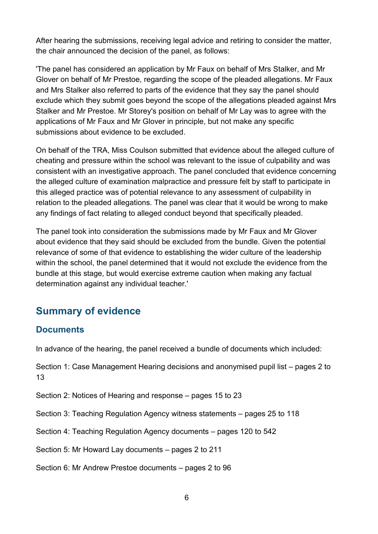After hearing the submissions, receiving legal advice and retiring to consider the matter, the chair announced the decision of the panel, as follows:

'The panel has considered an application by Mr Faux on behalf of Mrs Stalker, and Mr Glover on behalf of Mr Prestoe, regarding the scope of the pleaded allegations. Mr Faux and Mrs Stalker also referred to parts of the evidence that they say the panel should exclude which they submit goes beyond the scope of the allegations pleaded against Mrs Stalker and Mr Prestoe. Mr Storey's position on behalf of Mr Lay was to agree with the applications of Mr Faux and Mr Glover in principle, but not make any specific submissions about evidence to be excluded.

On behalf of the TRA, Miss Coulson submitted that evidence about the alleged culture of cheating and pressure within the school was relevant to the issue of culpability and was consistent with an investigative approach. The panel concluded that evidence concerning the alleged culture of examination malpractice and pressure felt by staff to participate in this alleged practice was of potential relevance to any assessment of culpability in relation to the pleaded allegations. The panel was clear that it would be wrong to make any findings of fact relating to alleged conduct beyond that specifically pleaded.

The panel took into consideration the submissions made by Mr Faux and Mr Glover about evidence that they said should be excluded from the bundle. Given the potential relevance of some of that evidence to establishing the wider culture of the leadership within the school, the panel determined that it would not exclude the evidence from the bundle at this stage, but would exercise extreme caution when making any factual determination against any individual teacher.'

# **Summary of evidence**

### **Documents**

In advance of the hearing, the panel received a bundle of documents which included:

Section 1: Case Management Hearing decisions and anonymised pupil list – pages 2 to 13

Section 2: Notices of Hearing and response – pages 15 to 23

Section 3: Teaching Regulation Agency witness statements – pages 25 to 118

Section 4: Teaching Regulation Agency documents – pages 120 to 542

Section 5: Mr Howard Lay documents – pages 2 to 211

Section 6: Mr Andrew Prestoe documents – pages 2 to 96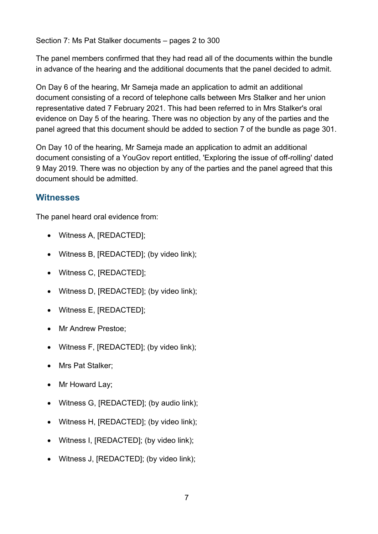The panel members confirmed that they had read all of the documents within the bundle in advance of the hearing and the additional documents that the panel decided to admit.

On Day 6 of the hearing, Mr Sameja made an application to admit an additional document consisting of a record of telephone calls between Mrs Stalker and her union representative dated 7 February 2021. This had been referred to in Mrs Stalker's oral evidence on Day 5 of the hearing. There was no objection by any of the parties and the panel agreed that this document should be added to section 7 of the bundle as page 301.

On Day 10 of the hearing, Mr Sameja made an application to admit an additional document consisting of a YouGov report entitled, 'Exploring the issue of off-rolling' dated 9 May 2019. There was no objection by any of the parties and the panel agreed that this document should be admitted.

## **Witnesses**

The panel heard oral evidence from:

- Witness A, [REDACTED];
- Witness B, [REDACTED]; (by video link);
- Witness C, [REDACTED];
- Witness D, [REDACTED]; (by video link);
- Witness E. [REDACTED]:
- Mr Andrew Prestoe;
- Witness F, [REDACTED]; (by video link);
- Mrs Pat Stalker;
- Mr Howard Lay;
- Witness G, [REDACTED]; (by audio link);
- Witness H, [REDACTED]; (by video link);
- Witness I, [REDACTED]; (by video link);
- Witness J, [REDACTED]; (by video link);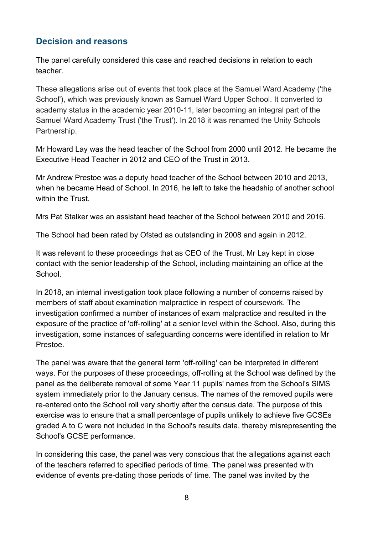## **Decision and reasons**

The panel carefully considered this case and reached decisions in relation to each teacher.

These allegations arise out of events that took place at the Samuel Ward Academy ('the School'), which was previously known as Samuel Ward Upper School. It converted to academy status in the academic year 2010-11, later becoming an integral part of the Samuel Ward Academy Trust ('the Trust'). In 2018 it was renamed the Unity Schools Partnership.

Mr Howard Lay was the head teacher of the School from 2000 until 2012. He became the Executive Head Teacher in 2012 and CEO of the Trust in 2013.

Mr Andrew Prestoe was a deputy head teacher of the School between 2010 and 2013, when he became Head of School. In 2016, he left to take the headship of another school within the Trust.

Mrs Pat Stalker was an assistant head teacher of the School between 2010 and 2016.

The School had been rated by Ofsted as outstanding in 2008 and again in 2012.

It was relevant to these proceedings that as CEO of the Trust, Mr Lay kept in close contact with the senior leadership of the School, including maintaining an office at the School.

In 2018, an internal investigation took place following a number of concerns raised by members of staff about examination malpractice in respect of coursework. The investigation confirmed a number of instances of exam malpractice and resulted in the exposure of the practice of 'off-rolling' at a senior level within the School. Also, during this investigation, some instances of safeguarding concerns were identified in relation to Mr Prestoe.

The panel was aware that the general term 'off-rolling' can be interpreted in different ways. For the purposes of these proceedings, off-rolling at the School was defined by the panel as the deliberate removal of some Year 11 pupils' names from the School's SIMS system immediately prior to the January census. The names of the removed pupils were re-entered onto the School roll very shortly after the census date. The purpose of this exercise was to ensure that a small percentage of pupils unlikely to achieve five GCSEs graded A to C were not included in the School's results data, thereby misrepresenting the School's GCSE performance.

In considering this case, the panel was very conscious that the allegations against each of the teachers referred to specified periods of time. The panel was presented with evidence of events pre-dating those periods of time. The panel was invited by the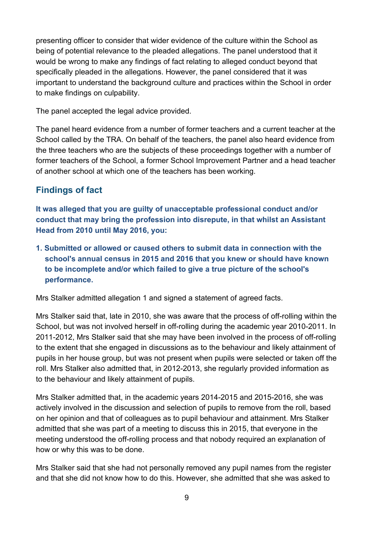presenting officer to consider that wider evidence of the culture within the School as being of potential relevance to the pleaded allegations. The panel understood that it would be wrong to make any findings of fact relating to alleged conduct beyond that specifically pleaded in the allegations. However, the panel considered that it was important to understand the background culture and practices within the School in order to make findings on culpability.

The panel accepted the legal advice provided.

The panel heard evidence from a number of former teachers and a current teacher at the School called by the TRA. On behalf of the teachers, the panel also heard evidence from the three teachers who are the subjects of these proceedings together with a number of former teachers of the School, a former School Improvement Partner and a head teacher of another school at which one of the teachers has been working.

## **Findings of fact**

**It was alleged that you are guilty of unacceptable professional conduct and/or conduct that may bring the profession into disrepute, in that whilst an Assistant Head from 2010 until May 2016, you:**

**1. Submitted or allowed or caused others to submit data in connection with the school's annual census in 2015 and 2016 that you knew or should have known to be incomplete and/or which failed to give a true picture of the school's performance.**

Mrs Stalker admitted allegation 1 and signed a statement of agreed facts.

Mrs Stalker said that, late in 2010, she was aware that the process of off-rolling within the School, but was not involved herself in off-rolling during the academic year 2010-2011. In 2011-2012, Mrs Stalker said that she may have been involved in the process of off-rolling to the extent that she engaged in discussions as to the behaviour and likely attainment of pupils in her house group, but was not present when pupils were selected or taken off the roll. Mrs Stalker also admitted that, in 2012-2013, she regularly provided information as to the behaviour and likely attainment of pupils.

Mrs Stalker admitted that, in the academic years 2014-2015 and 2015-2016, she was actively involved in the discussion and selection of pupils to remove from the roll, based on her opinion and that of colleagues as to pupil behaviour and attainment. Mrs Stalker admitted that she was part of a meeting to discuss this in 2015, that everyone in the meeting understood the off-rolling process and that nobody required an explanation of how or why this was to be done.

Mrs Stalker said that she had not personally removed any pupil names from the register and that she did not know how to do this. However, she admitted that she was asked to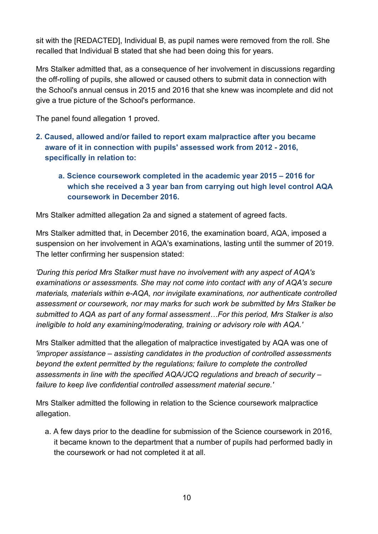sit with the [REDACTED], Individual B, as pupil names were removed from the roll. She recalled that Individual B stated that she had been doing this for years.

Mrs Stalker admitted that, as a consequence of her involvement in discussions regarding the off-rolling of pupils, she allowed or caused others to submit data in connection with the School's annual census in 2015 and 2016 that she knew was incomplete and did not give a true picture of the School's performance.

The panel found allegation 1 proved.

- **2. Caused, allowed and/or failed to report exam malpractice after you became aware of it in connection with pupils' assessed work from 2012 - 2016, specifically in relation to:**
	- **a. Science coursework completed in the academic year 2015 – 2016 for which she received a 3 year ban from carrying out high level control AQA coursework in December 2016.**

Mrs Stalker admitted allegation 2a and signed a statement of agreed facts.

Mrs Stalker admitted that, in December 2016, the examination board, AQA, imposed a suspension on her involvement in AQA's examinations, lasting until the summer of 2019. The letter confirming her suspension stated:

*'During this period Mrs Stalker must have no involvement with any aspect of AQA's examinations or assessments. She may not come into contact with any of AQA's secure materials, materials within e-AQA, nor invigilate examinations, nor authenticate controlled assessment or coursework, nor may marks for such work be submitted by Mrs Stalker be submitted to AQA as part of any formal assessment…For this period, Mrs Stalker is also ineligible to hold any examining/moderating, training or advisory role with AQA.'*

Mrs Stalker admitted that the allegation of malpractice investigated by AQA was one of *'improper assistance – assisting candidates in the production of controlled assessments beyond the extent permitted by the regulations; failure to complete the controlled assessments in line with the specified AQA/JCQ regulations and breach of security – failure to keep live confidential controlled assessment material secure.'*

Mrs Stalker admitted the following in relation to the Science coursework malpractice allegation.

a. A few days prior to the deadline for submission of the Science coursework in 2016, it became known to the department that a number of pupils had performed badly in the coursework or had not completed it at all.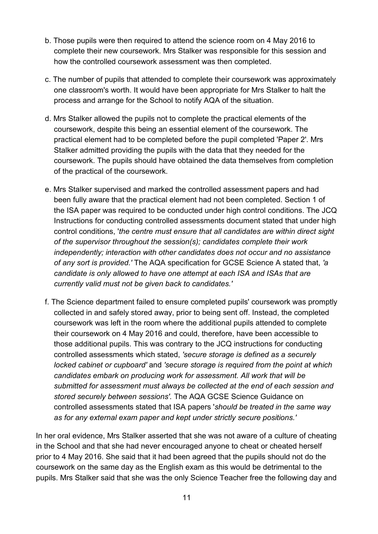- b. Those pupils were then required to attend the science room on 4 May 2016 to complete their new coursework. Mrs Stalker was responsible for this session and how the controlled coursework assessment was then completed.
- c. The number of pupils that attended to complete their coursework was approximately one classroom's worth. It would have been appropriate for Mrs Stalker to halt the process and arrange for the School to notify AQA of the situation.
- d. Mrs Stalker allowed the pupils not to complete the practical elements of the coursework, despite this being an essential element of the coursework. The practical element had to be completed before the pupil completed 'Paper 2'. Mrs Stalker admitted providing the pupils with the data that they needed for the coursework. The pupils should have obtained the data themselves from completion of the practical of the coursework.
- e. Mrs Stalker supervised and marked the controlled assessment papers and had been fully aware that the practical element had not been completed. Section 1 of the ISA paper was required to be conducted under high control conditions. The JCQ Instructions for conducting controlled assessments document stated that under high control conditions, '*the centre must ensure that all candidates are within direct sight of the supervisor throughout the session(s); candidates complete their work independently; interaction with other candidates does not occur and no assistance of any sort is provided.'* The AQA specification for GCSE Science A stated that, *'a candidate is only allowed to have one attempt at each ISA and ISAs that are currently valid must not be given back to candidates.'*
- f. The Science department failed to ensure completed pupils' coursework was promptly collected in and safely stored away, prior to being sent off. Instead, the completed coursework was left in the room where the additional pupils attended to complete their coursework on 4 May 2016 and could, therefore, have been accessible to those additional pupils. This was contrary to the JCQ instructions for conducting controlled assessments which stated, *'secure storage is defined as a securely locked cabinet or cupboard'* and *'secure storage is required from the point at which candidates embark on producing work for assessment. All work that will be submitted for assessment must always be collected at the end of each session and stored securely between sessions'.* The AQA GCSE Science Guidance on controlled assessments stated that ISA papers '*should be treated in the same way as for any external exam paper and kept under strictly secure positions.'*

In her oral evidence, Mrs Stalker asserted that she was not aware of a culture of cheating in the School and that she had never encouraged anyone to cheat or cheated herself prior to 4 May 2016. She said that it had been agreed that the pupils should not do the coursework on the same day as the English exam as this would be detrimental to the pupils. Mrs Stalker said that she was the only Science Teacher free the following day and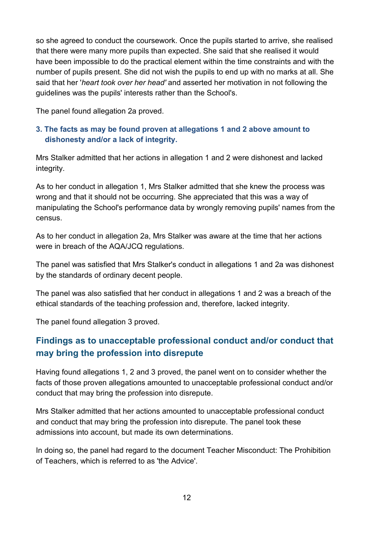so she agreed to conduct the coursework. Once the pupils started to arrive, she realised that there were many more pupils than expected. She said that she realised it would have been impossible to do the practical element within the time constraints and with the number of pupils present. She did not wish the pupils to end up with no marks at all. She said that her '*heart took over her head'* and asserted her motivation in not following the guidelines was the pupils' interests rather than the School's.

The panel found allegation 2a proved.

#### **3. The facts as may be found proven at allegations 1 and 2 above amount to dishonesty and/or a lack of integrity.**

Mrs Stalker admitted that her actions in allegation 1 and 2 were dishonest and lacked integrity.

As to her conduct in allegation 1, Mrs Stalker admitted that she knew the process was wrong and that it should not be occurring. She appreciated that this was a way of manipulating the School's performance data by wrongly removing pupils' names from the census.

As to her conduct in allegation 2a, Mrs Stalker was aware at the time that her actions were in breach of the AQA/JCQ regulations.

The panel was satisfied that Mrs Stalker's conduct in allegations 1 and 2a was dishonest by the standards of ordinary decent people.

The panel was also satisfied that her conduct in allegations 1 and 2 was a breach of the ethical standards of the teaching profession and, therefore, lacked integrity.

The panel found allegation 3 proved.

## **Findings as to unacceptable professional conduct and/or conduct that may bring the profession into disrepute**

Having found allegations 1, 2 and 3 proved, the panel went on to consider whether the facts of those proven allegations amounted to unacceptable professional conduct and/or conduct that may bring the profession into disrepute.

Mrs Stalker admitted that her actions amounted to unacceptable professional conduct and conduct that may bring the profession into disrepute. The panel took these admissions into account, but made its own determinations.

In doing so, the panel had regard to the document Teacher Misconduct: The Prohibition of Teachers, which is referred to as 'the Advice'.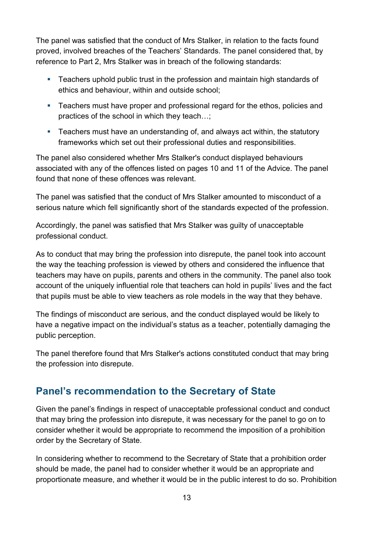The panel was satisfied that the conduct of Mrs Stalker, in relation to the facts found proved, involved breaches of the Teachers' Standards. The panel considered that, by reference to Part 2, Mrs Stalker was in breach of the following standards:

- **Teachers uphold public trust in the profession and maintain high standards of** ethics and behaviour, within and outside school;
- **Teachers must have proper and professional regard for the ethos, policies and** practices of the school in which they teach…;
- Teachers must have an understanding of, and always act within, the statutory frameworks which set out their professional duties and responsibilities.

The panel also considered whether Mrs Stalker's conduct displayed behaviours associated with any of the offences listed on pages 10 and 11 of the Advice. The panel found that none of these offences was relevant.

The panel was satisfied that the conduct of Mrs Stalker amounted to misconduct of a serious nature which fell significantly short of the standards expected of the profession.

Accordingly, the panel was satisfied that Mrs Stalker was guilty of unacceptable professional conduct.

As to conduct that may bring the profession into disrepute, the panel took into account the way the teaching profession is viewed by others and considered the influence that teachers may have on pupils, parents and others in the community. The panel also took account of the uniquely influential role that teachers can hold in pupils' lives and the fact that pupils must be able to view teachers as role models in the way that they behave.

The findings of misconduct are serious, and the conduct displayed would be likely to have a negative impact on the individual's status as a teacher, potentially damaging the public perception.

The panel therefore found that Mrs Stalker's actions constituted conduct that may bring the profession into disrepute.

# **Panel's recommendation to the Secretary of State**

Given the panel's findings in respect of unacceptable professional conduct and conduct that may bring the profession into disrepute, it was necessary for the panel to go on to consider whether it would be appropriate to recommend the imposition of a prohibition order by the Secretary of State.

In considering whether to recommend to the Secretary of State that a prohibition order should be made, the panel had to consider whether it would be an appropriate and proportionate measure, and whether it would be in the public interest to do so. Prohibition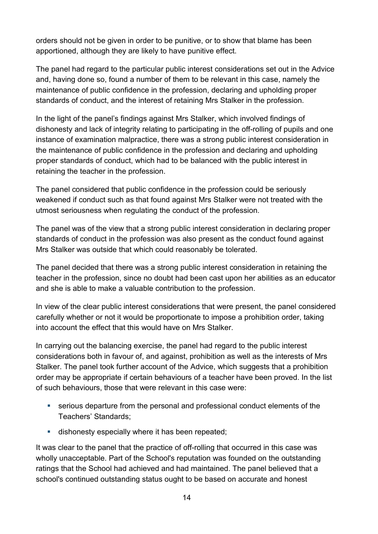orders should not be given in order to be punitive, or to show that blame has been apportioned, although they are likely to have punitive effect.

The panel had regard to the particular public interest considerations set out in the Advice and, having done so, found a number of them to be relevant in this case, namely the maintenance of public confidence in the profession, declaring and upholding proper standards of conduct, and the interest of retaining Mrs Stalker in the profession.

In the light of the panel's findings against Mrs Stalker, which involved findings of dishonesty and lack of integrity relating to participating in the off-rolling of pupils and one instance of examination malpractice, there was a strong public interest consideration in the maintenance of public confidence in the profession and declaring and upholding proper standards of conduct, which had to be balanced with the public interest in retaining the teacher in the profession.

The panel considered that public confidence in the profession could be seriously weakened if conduct such as that found against Mrs Stalker were not treated with the utmost seriousness when regulating the conduct of the profession.

The panel was of the view that a strong public interest consideration in declaring proper standards of conduct in the profession was also present as the conduct found against Mrs Stalker was outside that which could reasonably be tolerated.

The panel decided that there was a strong public interest consideration in retaining the teacher in the profession, since no doubt had been cast upon her abilities as an educator and she is able to make a valuable contribution to the profession.

In view of the clear public interest considerations that were present, the panel considered carefully whether or not it would be proportionate to impose a prohibition order, taking into account the effect that this would have on Mrs Stalker.

In carrying out the balancing exercise, the panel had regard to the public interest considerations both in favour of, and against, prohibition as well as the interests of Mrs Stalker. The panel took further account of the Advice, which suggests that a prohibition order may be appropriate if certain behaviours of a teacher have been proved. In the list of such behaviours, those that were relevant in this case were:

- serious departure from the personal and professional conduct elements of the Teachers' Standards;
- **dishonesty especially where it has been repeated;**

It was clear to the panel that the practice of off-rolling that occurred in this case was wholly unacceptable. Part of the School's reputation was founded on the outstanding ratings that the School had achieved and had maintained. The panel believed that a school's continued outstanding status ought to be based on accurate and honest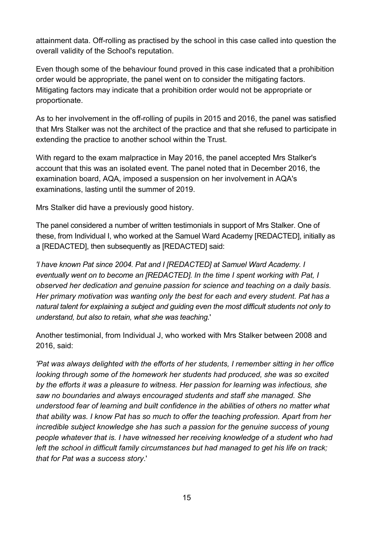attainment data. Off-rolling as practised by the school in this case called into question the overall validity of the School's reputation.

Even though some of the behaviour found proved in this case indicated that a prohibition order would be appropriate, the panel went on to consider the mitigating factors. Mitigating factors may indicate that a prohibition order would not be appropriate or proportionate.

As to her involvement in the off-rolling of pupils in 2015 and 2016, the panel was satisfied that Mrs Stalker was not the architect of the practice and that she refused to participate in extending the practice to another school within the Trust.

With regard to the exam malpractice in May 2016, the panel accepted Mrs Stalker's account that this was an isolated event. The panel noted that in December 2016, the examination board, AQA, imposed a suspension on her involvement in AQA's examinations, lasting until the summer of 2019.

Mrs Stalker did have a previously good history.

The panel considered a number of written testimonials in support of Mrs Stalker. One of these, from Individual I, who worked at the Samuel Ward Academy [REDACTED], initially as a [REDACTED], then subsequently as [REDACTED] said:

*'I have known Pat since 2004. Pat and I [REDACTED] at Samuel Ward Academy. I eventually went on to become an [REDACTED]. In the time I spent working with Pat, I observed her dedication and genuine passion for science and teaching on a daily basis. Her primary motivation was wanting only the best for each and every student. Pat has a natural talent for explaining a subject and guiding even the most difficult students not only to understand, but also to retain, what she was teaching.*'

Another testimonial, from Individual J, who worked with Mrs Stalker between 2008 and 2016, said:

*'Pat was always delighted with the efforts of her students, I remember sitting in her office looking through some of the homework her students had produced, she was so excited by the efforts it was a pleasure to witness. Her passion for learning was infectious, she saw no boundaries and always encouraged students and staff she managed. She understood fear of learning and built confidence in the abilities of others no matter what that ability was. I know Pat has so much to offer the teaching profession. Apart from her incredible subject knowledge she has such a passion for the genuine success of young people whatever that is. I have witnessed her receiving knowledge of a student who had left the school in difficult family circumstances but had managed to get his life on track; that for Pat was a success story*.'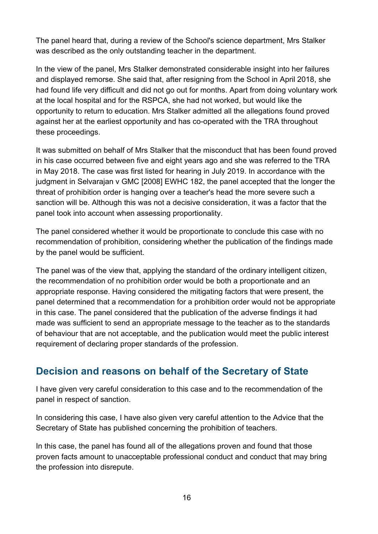The panel heard that, during a review of the School's science department, Mrs Stalker was described as the only outstanding teacher in the department.

In the view of the panel, Mrs Stalker demonstrated considerable insight into her failures and displayed remorse. She said that, after resigning from the School in April 2018, she had found life very difficult and did not go out for months. Apart from doing voluntary work at the local hospital and for the RSPCA, she had not worked, but would like the opportunity to return to education. Mrs Stalker admitted all the allegations found proved against her at the earliest opportunity and has co-operated with the TRA throughout these proceedings.

It was submitted on behalf of Mrs Stalker that the misconduct that has been found proved in his case occurred between five and eight years ago and she was referred to the TRA in May 2018. The case was first listed for hearing in July 2019. In accordance with the judgment in Selvarajan v GMC [2008] EWHC 182, the panel accepted that the longer the threat of prohibition order is hanging over a teacher's head the more severe such a sanction will be. Although this was not a decisive consideration, it was a factor that the panel took into account when assessing proportionality.

The panel considered whether it would be proportionate to conclude this case with no recommendation of prohibition, considering whether the publication of the findings made by the panel would be sufficient.

The panel was of the view that, applying the standard of the ordinary intelligent citizen, the recommendation of no prohibition order would be both a proportionate and an appropriate response. Having considered the mitigating factors that were present, the panel determined that a recommendation for a prohibition order would not be appropriate in this case. The panel considered that the publication of the adverse findings it had made was sufficient to send an appropriate message to the teacher as to the standards of behaviour that are not acceptable, and the publication would meet the public interest requirement of declaring proper standards of the profession.

# **Decision and reasons on behalf of the Secretary of State**

I have given very careful consideration to this case and to the recommendation of the panel in respect of sanction.

In considering this case, I have also given very careful attention to the Advice that the Secretary of State has published concerning the prohibition of teachers.

In this case, the panel has found all of the allegations proven and found that those proven facts amount to unacceptable professional conduct and conduct that may bring the profession into disrepute.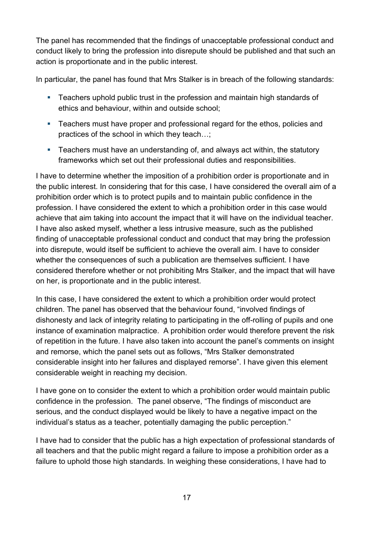The panel has recommended that the findings of unacceptable professional conduct and conduct likely to bring the profession into disrepute should be published and that such an action is proportionate and in the public interest.

In particular, the panel has found that Mrs Stalker is in breach of the following standards:

- Teachers uphold public trust in the profession and maintain high standards of ethics and behaviour, within and outside school;
- **Teachers must have proper and professional regard for the ethos, policies and** practices of the school in which they teach…;
- **Teachers must have an understanding of, and always act within, the statutory** frameworks which set out their professional duties and responsibilities.

I have to determine whether the imposition of a prohibition order is proportionate and in the public interest. In considering that for this case, I have considered the overall aim of a prohibition order which is to protect pupils and to maintain public confidence in the profession. I have considered the extent to which a prohibition order in this case would achieve that aim taking into account the impact that it will have on the individual teacher. I have also asked myself, whether a less intrusive measure, such as the published finding of unacceptable professional conduct and conduct that may bring the profession into disrepute, would itself be sufficient to achieve the overall aim. I have to consider whether the consequences of such a publication are themselves sufficient. I have considered therefore whether or not prohibiting Mrs Stalker, and the impact that will have on her, is proportionate and in the public interest.

In this case, I have considered the extent to which a prohibition order would protect children. The panel has observed that the behaviour found, "involved findings of dishonesty and lack of integrity relating to participating in the off-rolling of pupils and one instance of examination malpractice. A prohibition order would therefore prevent the risk of repetition in the future. I have also taken into account the panel's comments on insight and remorse, which the panel sets out as follows, "Mrs Stalker demonstrated considerable insight into her failures and displayed remorse". I have given this element considerable weight in reaching my decision.

I have gone on to consider the extent to which a prohibition order would maintain public confidence in the profession. The panel observe, "The findings of misconduct are serious, and the conduct displayed would be likely to have a negative impact on the individual's status as a teacher, potentially damaging the public perception."

I have had to consider that the public has a high expectation of professional standards of all teachers and that the public might regard a failure to impose a prohibition order as a failure to uphold those high standards. In weighing these considerations, I have had to